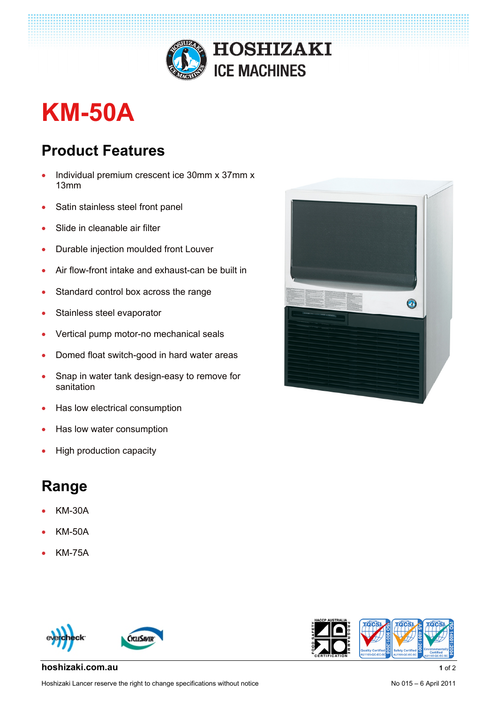

## **KM-50A**

## **Product Features**

- Individual premium crescent ice 30mm x 37mm x 13mm
- Satin stainless steel front panel
- Slide in cleanable air filter
- Durable injection moulded front Louver
- Air flow-front intake and exhaust-can be built in
- Standard control box across the range
- Stainless steel evaporator
- Vertical pump motor-no mechanical seals
- Domed float switch-good in hard water areas
- Snap in water tank design-easy to remove for sanitation
- Has low electrical consumption
- Has low water consumption
- High production capacity

## **Range**

- KM-30A
- KM-50A
- KM-75A